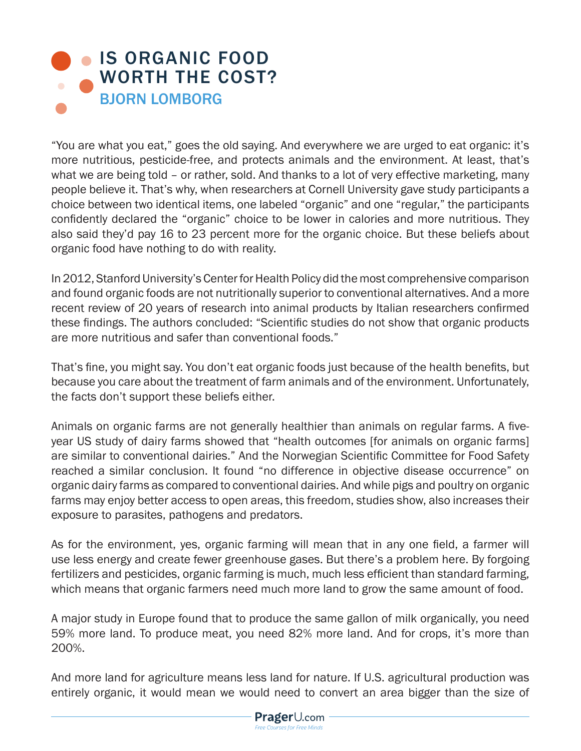## **IS ORGANIC FOOD** [WORTH THE COST?](https://www.prageru.com/courses/environmental-science/organic-food-worth-cost
) BJORN LOMBORG

"You are what you eat," goes the old saying. And everywhere we are urged to eat organic: it's more nutritious, pesticide-free, and protects animals and the environment. At least, that's what we are being told – or rather, sold. And thanks to a lot of very effective marketing, many people believe it. That's why, when researchers at Cornell University gave study participants a choice between two identical items, one labeled "organic" and one "regular," the participants confidently declared the "organic" choice to be lower in calories and more nutritious. They also said they'd pay 16 to 23 percent more for the organic choice. But these beliefs about organic food have nothing to do with reality.

In 2012, Stanford University's Center for Health Policy did the most comprehensive comparison and found organic foods are not nutritionally superior to conventional alternatives. And a more recent review of 20 years of research into animal products by Italian researchers confirmed these findings. The authors concluded: "Scientific studies do not show that organic products are more nutritious and safer than conventional foods."

That's fine, you might say. You don't eat organic foods just because of the health benefits, but because you care about the treatment of farm animals and of the environment. Unfortunately, the facts don't support these beliefs either.

Animals on organic farms are not generally healthier than animals on regular farms. A fiveyear US study of dairy farms showed that "health outcomes [for animals on organic farms] are similar to conventional dairies." And the Norwegian Scientific Committee for Food Safety reached a similar conclusion. It found "no difference in objective disease occurrence" on organic dairy farms as compared to conventional dairies. And while pigs and poultry on organic farms may enjoy better access to open areas, this freedom, studies show, also increases their exposure to parasites, pathogens and predators.

As for the environment, yes, organic farming will mean that in any one field, a farmer will use less energy and create fewer greenhouse gases. But there's a problem here. By forgoing fertilizers and pesticides, organic farming is much, much less efficient than standard farming, which means that organic farmers need much more land to grow the same amount of food.

A major study in Europe found that to produce the same gallon of milk organically, you need 59% more land. To produce meat, you need 82% more land. And for crops, it's more than 200%.

And more land for agriculture means less land for nature. If U.S. agricultural production was entirely organic, it would mean we would need to convert an area bigger than the size of